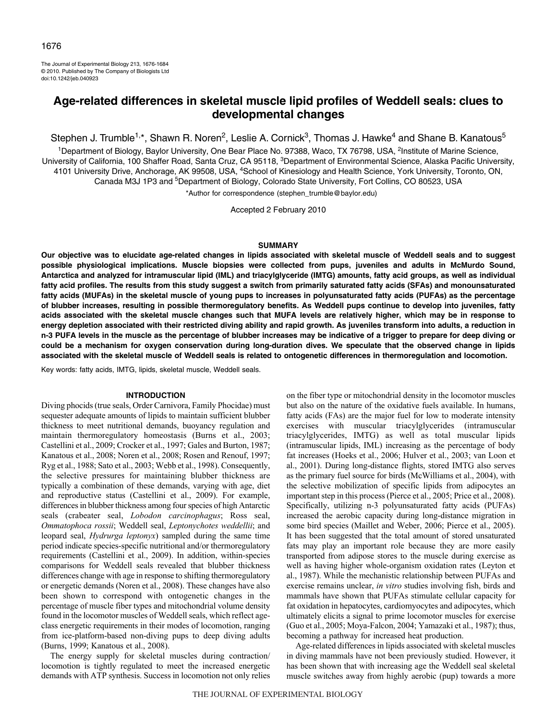The Journal of Experimental Biology 213, 1676-1684 © 2010. Published by The Company of Biologists Ltd doi:10.1242/jeb.040923

# **Age-related differences in skeletal muscle lipid profiles of Weddell seals: clues to developmental changes**

Stephen J. Trumble<sup>1,\*</sup>, Shawn R. Noren<sup>2</sup>, Leslie A. Cornick<sup>3</sup>, Thomas J. Hawke<sup>4</sup> and Shane B. Kanatous<sup>5</sup>

<sup>1</sup>Department of Biology, Baylor University, One Bear Place No. 97388, Waco, TX 76798, USA, <sup>2</sup>Institute of Marine Science, University of California, 100 Shaffer Road, Santa Cruz, CA 95118, 3Department of Environmental Science, Alaska Pacific University, 4101 University Drive, Anchorage, AK 99508, USA, <sup>4</sup>School of Kinesiology and Health Science, York University, Toronto, ON, Canada M3J 1P3 and <sup>5</sup>Department of Biology, Colorado State University, Fort Collins, CO 80523, USA

\*Author for correspondence (stephen\_trumble@baylor.edu)

Accepted 2 February 2010

### **SUMMARY**

**Our objective was to elucidate age-related changes in lipids associated with skeletal muscle of Weddell seals and to suggest possible physiological implications. Muscle biopsies were collected from pups, juveniles and adults in McMurdo Sound, Antarctica and analyzed for intramuscular lipid (IML) and triacylglyceride (IMTG) amounts, fatty acid groups, as well as individual fatty acid profiles. The results from this study suggest a switch from primarily saturated fatty acids (SFAs) and monounsaturated fatty acids (MUFAs) in the skeletal muscle of young pups to increases in polyunsaturated fatty acids (PUFAs) as the percentage of blubber increases, resulting in possible thermoregulatory benefits. As Weddell pups continue to develop into juveniles, fatty acids associated with the skeletal muscle changes such that MUFA levels are relatively higher, which may be in response to energy depletion associated with their restricted diving ability and rapid growth. As juveniles transform into adults, a reduction in n-3 PUFA levels in the muscle as the percentage of blubber increases may be indicative of a trigger to prepare for deep diving or could be a mechanism for oxygen conservation during long-duration dives. We speculate that the observed change in lipids associated with the skeletal muscle of Weddell seals is related to ontogenetic differences in thermoregulation and locomotion.**

Key words: fatty acids, IMTG, lipids, skeletal muscle, Weddell seals.

# **INTRODUCTION**

Diving phocids (true seals, Order Carnivora, Family Phocidae) must sequester adequate amounts of lipids to maintain sufficient blubber thickness to meet nutritional demands, buoyancy regulation and maintain thermoregulatory homeostasis (Burns et al., 2003; Castellini et al., 2009; Crocker et al., 1997; Gales and Burton, 1987; Kanatous et al., 2008; Noren et al., 2008; Rosen and Renouf, 1997; Ryg et al., 1988; Sato et al., 2003; Webb et al., 1998). Consequently, the selective pressures for maintaining blubber thickness are typically a combination of these demands, varying with age, diet and reproductive status (Castellini et al., 2009). For example, differences in blubber thickness among four species of high Antarctic seals (crabeater seal, *Lobodon carcinophagus*; Ross seal, *Ommatophoca rossii*; Weddell seal, *Leptonychotes weddellii*; and leopard seal, *Hydrurga leptonyx*) sampled during the same time period indicate species-specific nutritional and/or thermoregulatory requirements (Castellini et al., 2009). In addition, within-species comparisons for Weddell seals revealed that blubber thickness differences change with age in response to shifting thermoregulatory or energetic demands (Noren et al., 2008). These changes have also been shown to correspond with ontogenetic changes in the percentage of muscle fiber types and mitochondrial volume density found in the locomotor muscles of Weddell seals, which reflect ageclass energetic requirements in their modes of locomotion, ranging from ice-platform-based non-diving pups to deep diving adults (Burns, 1999; Kanatous et al., 2008).

The energy supply for skeletal muscles during contraction/ locomotion is tightly regulated to meet the increased energetic demands with ATP synthesis. Success in locomotion not only relies on the fiber type or mitochondrial density in the locomotor muscles but also on the nature of the oxidative fuels available. In humans, fatty acids (FAs) are the major fuel for low to moderate intensity exercises with muscular triacylglycerides (intramuscular triacylglycerides, IMTG) as well as total muscular lipids (intramuscular lipids, IML) increasing as the percentage of body fat increases (Hoeks et al., 2006; Hulver et al., 2003; van Loon et al., 2001). During long-distance flights, stored IMTG also serves as the primary fuel source for birds (McWilliams et al., 2004), with the selective mobilization of specific lipids from adipocytes an important step in this process (Pierce et al., 2005; Price et al., 2008). Specifically, utilizing n-3 polyunsaturated fatty acids (PUFAs) increased the aerobic capacity during long-distance migration in some bird species (Maillet and Weber, 2006; Pierce et al., 2005). It has been suggested that the total amount of stored unsaturated fats may play an important role because they are more easily transported from adipose stores to the muscle during exercise as well as having higher whole-organism oxidation rates (Leyton et al., 1987). While the mechanistic relationship between PUFAs and exercise remains unclear, *in vitro* studies involving fish, birds and mammals have shown that PUFAs stimulate cellular capacity for fat oxidation in hepatocytes, cardiomyocytes and adipocytes, which ultimately elicits a signal to prime locomotor muscles for exercise (Guo et al., 2005; Moya-Falcon, 2004; Yamazaki et al., 1987); thus, becoming a pathway for increased heat production.

Age-related differences in lipids associated with skeletal muscles in diving mammals have not been previously studied. However, it has been shown that with increasing age the Weddell seal skeletal muscle switches away from highly aerobic (pup) towards a more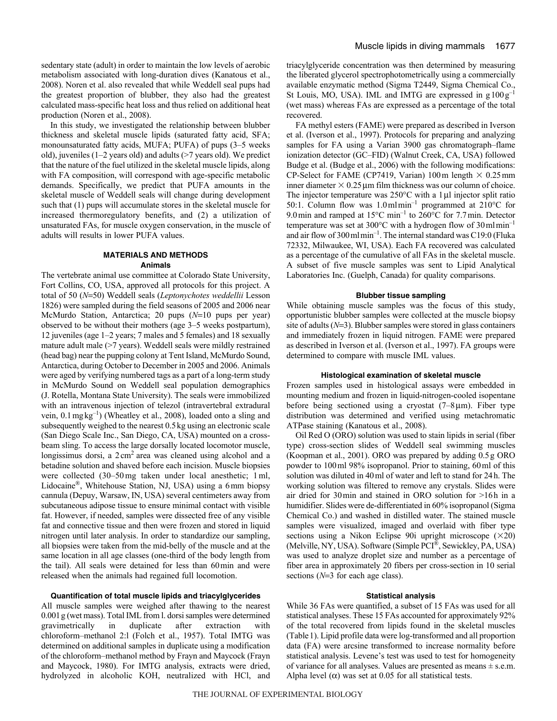sedentary state (adult) in order to maintain the low levels of aerobic metabolism associated with long-duration dives (Kanatous et al., 2008). Noren et al. also revealed that while Weddell seal pups had the greatest proportion of blubber, they also had the greatest calculated mass-specific heat loss and thus relied on additional heat production (Noren et al., 2008).

In this study, we investigated the relationship between blubber thickness and skeletal muscle lipids (saturated fatty acid, SFA; monounsaturated fatty acids, MUFA; PUFA) of pups (3–5 weeks old), juveniles (1–2 years old) and adults (>7 years old). We predict that the nature of the fuel utilized in the skeletal muscle lipids, along with FA composition, will correspond with age-specific metabolic demands. Specifically, we predict that PUFA amounts in the skeletal muscle of Weddell seals will change during development such that (1) pups will accumulate stores in the skeletal muscle for increased thermoregulatory benefits, and (2) a utilization of unsaturated FAs, for muscle oxygen conservation, in the muscle of adults will results in lower PUFA values.

# **MATERIALS AND METHODS Animals**

The vertebrate animal use committee at Colorado State University, Fort Collins, CO, USA, approved all protocols for this project. A total of 50 (*N*=50) Weddell seals (*Leptonychotes weddellii* Lesson 1826) were sampled during the field seasons of 2005 and 2006 near McMurdo Station, Antarctica; 20 pups (N=10 pups per year) observed to be without their mothers (age 3–5 weeks postpartum), 12 juveniles (age 1–2 years; 7 males and 5 females) and 18 sexually mature adult male (>7 years). Weddell seals were mildly restrained (head bag) near the pupping colony at Tent Island, McMurdo Sound, Antarctica, during October to December in 2005 and 2006. Animals were aged by verifying numbered tags as a part of a long-term study in McMurdo Sound on Weddell seal population demographics (J. Rotella, Montana State University). The seals were immobilized with an intravenous injection of telezol (intravertebral extradural vein,  $0.1 \text{ mgkg}^{-1}$ ) (Wheatley et al., 2008), loaded onto a sling and subsequently weighed to the nearest 0.5kg using an electronic scale (San Diego Scale Inc., San Diego, CA, USA) mounted on a crossbeam sling. To access the large dorsally located locomotor muscle, longissimus dorsi, a  $2 \text{ cm}^2$  area was cleaned using alcohol and a betadine solution and shaved before each incision. Muscle biopsies were collected (30–50mg taken under local anesthetic; 1ml, Lidocaine®, Whitehouse Station, NJ, USA) using a 6mm biopsy cannula (Depuy, Warsaw, IN, USA) several centimeters away from subcutaneous adipose tissue to ensure minimal contact with visible fat. However, if needed, samples were dissected free of any visible fat and connective tissue and then were frozen and stored in liquid nitrogen until later analysis. In order to standardize our sampling, all biopsies were taken from the mid-belly of the muscle and at the same location in all age classes (one-third of the body length from the tail). All seals were detained for less than 60min and were released when the animals had regained full locomotion.

# **Quantification of total muscle lipids and triacylglycerides**

All muscle samples were weighed after thawing to the nearest 0.001g (wet mass). Total IML from l. dorsi samples were determined gravimetrically in duplicate after extraction with chloroform–methanol 2:l (Folch et al., 1957). Total IMTG was determined on additional samples in duplicate using a modification of the chloroform–methanol method by Frayn and Maycock (Frayn and Maycock, 1980). For IMTG analysis, extracts were dried, hydrolyzed in alcoholic KOH, neutralized with HCl, and triacylglyceride concentration was then determined by measuring the liberated glycerol spectrophotometrically using a commercially available enzymatic method (Sigma T2449, Sigma Chemical Co., St Louis, MO, USA). IML and IMTG are expressed in  $g100g^{-1}$ (wet mass) whereas FAs are expressed as a percentage of the total recovered.

FA methyl esters (FAME) were prepared as described in Iverson et al. (Iverson et al., 1997). Protocols for preparing and analyzing samples for FA using a Varian 3900 gas chromatograph–flame ionization detector (GC–FID) (Walnut Creek, CA, USA) followed Budge et al. (Budge et al., 2006) with the following modifications: CP-Select for FAME (CP7419, Varian) 100 m length  $\times$  0.25 mm inner diameter  $\times$  0.25 µm film thickness was our column of choice. The injector temperature was  $250^{\circ}$ C with a 1 µl injector split ratio 50:1. Column flow was 1.0mlmin–1 programmed at 210°C for 9.0min and ramped at 15°C min<sup>-1</sup> to 260°C for 7.7min. Detector temperature was set at  $300^{\circ}$ C with a hydrogen flow of  $30 \text{ ml min}^{-1}$ and air flow of 300mlmin–1. The internal standard was C19:0 (Fluka 72332, Milwaukee, WI, USA). Each FA recovered was calculated as a percentage of the cumulative of all FAs in the skeletal muscle. A subset of five muscle samples was sent to Lipid Analytical Laboratories Inc. (Guelph, Canada) for quality comparisons.

### **Blubber tissue sampling**

While obtaining muscle samples was the focus of this study, opportunistic blubber samples were collected at the muscle biopsy site of adults  $(N=3)$ . Blubber samples were stored in glass containers and immediately frozen in liquid nitrogen. FAME were prepared as described in Iverson et al. (Iverson et al., 1997). FA groups were determined to compare with muscle IML values.

### **Histological examination of skeletal muscle**

Frozen samples used in histological assays were embedded in mounting medium and frozen in liquid-nitrogen-cooled isopentane before being sectioned using a cryostat  $(7-8 \mu m)$ . Fiber type distribution was determined and verified using metachromatic ATPase staining (Kanatous et al., 2008).

Oil Red O (ORO) solution was used to stain lipids in serial (fiber type) cross-section slides of Weddell seal swimming muscles (Koopman et al., 2001). ORO was prepared by adding 0.5g ORO powder to 100ml 98% isopropanol. Prior to staining, 60ml of this solution was diluted in 40ml of water and left to stand for 24h. The working solution was filtered to remove any crystals. Slides were air dried for 30min and stained in ORO solution for >16h in a humidifier. Slides were de-differentiated in 60% isopropanol (Sigma Chemical Co.) and washed in distilled water. The stained muscle samples were visualized, imaged and overlaid with fiber type sections using a Nikon Eclipse 90i upright microscope  $(\times 20)$ (Melville, NY, USA). Software (Simple PCI®, Sewickley, PA, USA) was used to analyze droplet size and number as a percentage of fiber area in approximately 20 fibers per cross-section in 10 serial sections  $(N=3$  for each age class).

### **Statistical analysis**

While 36 FAs were quantified, a subset of 15 FAs was used for all statistical analyses. These 15 FAs accounted for approximately 92% of the total recovered from lipids found in the skeletal muscles (Table1). Lipid profile data were log-transformed and all proportion data (FA) were arcsine transformed to increase normality before statistical analysis. Levene's test was used to test for homogeneity of variance for all analyses. Values are presented as means  $\pm$  s.e.m. Alpha level  $(\alpha)$  was set at 0.05 for all statistical tests.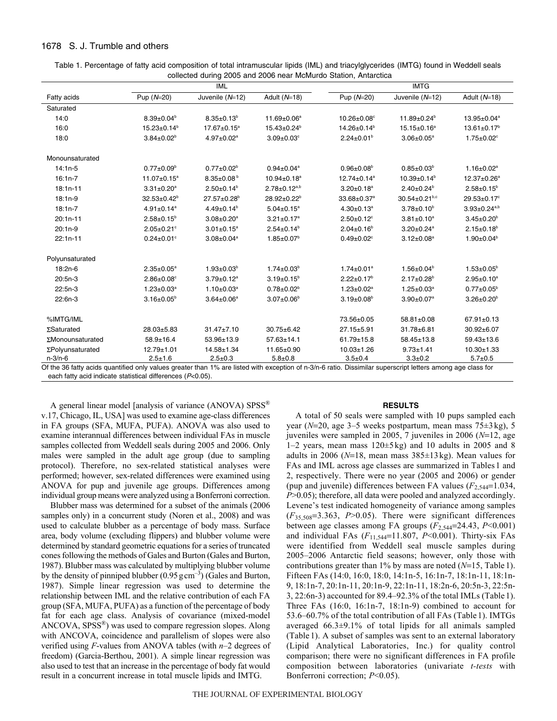# 1678 S. J. Trumble and others

| Table 1. Percentage of fatty acid composition of total intramuscular lipids (IML) and triacylglycerides (IMTG) found in Weddell seals |
|---------------------------------------------------------------------------------------------------------------------------------------|
| collected during 2005 and 2006 near McMurdo Station, Antarctica                                                                       |

| <b>IML</b>                   |                               |                              |                               |                              |                                                                                                                                                                            |
|------------------------------|-------------------------------|------------------------------|-------------------------------|------------------------------|----------------------------------------------------------------------------------------------------------------------------------------------------------------------------|
| Pup $(N=20)$                 | Juvenile (N=12)               | Adult $(N=18)$               | Pup (N=20)                    | Juvenile $(N=12)$            | Adult $(N=18)$                                                                                                                                                             |
|                              |                               |                              |                               |                              |                                                                                                                                                                            |
| $8.39 \pm 0.04^b$            | $8.35 \pm 0.13^b$             | $11.69 \pm 0.06^a$           | $10.26 \pm 0.08$ <sup>c</sup> | $11.89 \pm 0.24^b$           | 13.95±0.04 <sup>a</sup>                                                                                                                                                    |
| $15.23 \pm 0.14^b$           | 17.67±0.15 <sup>a</sup>       | $15.43 \pm 0.24^b$           | $14.26 \pm 0.14^b$            | $15.15 \pm 0.16^a$           | $13.61 \pm 0.17^{\circ}$                                                                                                                                                   |
| $3.84 \pm 0.02^b$            | $4.97 \pm 0.02^a$             | $3.09 \pm 0.03$ °            | $2.24 \pm 0.01^b$             | $3.06 \pm 0.05^a$            | $1.75 \pm 0.02$ <sup>c</sup>                                                                                                                                               |
|                              |                               |                              |                               |                              |                                                                                                                                                                            |
| $0.77 \pm 0.09^b$            | $0.77 \pm 0.02^b$             | $0.94 \pm 0.04$ <sup>a</sup> | $0.96 \pm 0.08^{\circ}$       | $0.85 \pm 0.03^b$            | $1.16 \pm 0.02^a$                                                                                                                                                          |
| $11.07 \pm 0.15^a$           | $8.35 \pm 0.08^{b}$           | $10.94 \pm 0.18^a$           | $12.74 \pm 0.14$ <sup>a</sup> | $10.39 + 0.14^b$             | $12.37+0.26^a$                                                                                                                                                             |
| $3.31 \pm 0.20^a$            | $2.50 \pm 0.14^b$             | $2.78 \pm 0.12^{a,b}$        | $3.20 \pm 0.18^a$             | $2.40 \pm 0.24^b$            | $2.58 \pm 0.15^b$                                                                                                                                                          |
| $32.53 \pm 0.42^b$           | $27.57 \pm 0.28$ <sup>b</sup> | $28.92 \pm 0.22^b$           | $33.68 \pm 0.37$ <sup>a</sup> | $30.54 \pm 0.21^{b,c}$       | $29.53 \pm 0.17$ °                                                                                                                                                         |
| $4.91 \pm 0.14$ <sup>a</sup> | $4.49 \pm 0.14^b$             | $5.04 \pm 0.15^a$            | $4.30 \pm 0.13^a$             | $3.78 \pm 0.10^b$            | $3.93 \pm 0.24^{a,b}$                                                                                                                                                      |
| $2.58 \pm 0.15^b$            | $3.08 \pm 0.20^a$             | $3.21 \pm 0.17$ <sup>a</sup> | $2.50 \pm 0.12$ <sup>c</sup>  | $3.81 \pm 0.10^a$            | $3.45 \pm 0.20^{\circ}$                                                                                                                                                    |
| $2.05 \pm 0.21$ °            | $3.01 \pm 0.15^a$             | $2.54 \pm 0.14^{b}$          | $2.04 \pm 0.16^b$             | $3.20 \pm 0.24$ <sup>a</sup> | $2.15 \pm 0.18^b$                                                                                                                                                          |
| $0.24 \pm 0.01$ °            | $3.08 \pm 0.04^a$             | $1.85 \pm 0.07^b$            | $0.49 \pm 0.02$ <sup>c</sup>  | $3.12 \pm 0.08^a$            | $1.90 \pm 0.04^b$                                                                                                                                                          |
|                              |                               |                              |                               |                              |                                                                                                                                                                            |
| $2.35 \pm 0.05^a$            | $1.93 \pm 0.03^b$             | $1.74 \pm 0.03^b$            | $1.74 \pm 0.01^a$             | $1.56 \pm 0.04^b$            | $1.53 \pm 0.05^{\circ}$                                                                                                                                                    |
| $2.86 \pm 0.08$ <sup>c</sup> | $3.79 \pm 0.12^a$             | $3.19 \pm 0.15^b$            | $2.22 \pm 0.17^b$             | $2.17 \pm 0.28^b$            | $2.95 \pm 0.10^a$                                                                                                                                                          |
| $1.23 \pm 0.03^a$            | $1.10 \pm 0.03^a$             | $0.78 \pm 0.02^b$            | $1.23 \pm 0.02^a$             | $1.25 \pm 0.03^a$            | $0.77 \pm 0.05^{\circ}$                                                                                                                                                    |
| $3.16 \pm 0.05^b$            | $3.64 \pm 0.06^a$             | $3.07 \pm 0.06^b$            | $3.19 \pm 0.08^{\circ}$       | $3.90 \pm 0.07$ <sup>a</sup> | $3.26 \pm 0.20^{\circ}$                                                                                                                                                    |
|                              |                               |                              | 73.56±0.05                    | 58.81±0.08                   | 67.91±0.13                                                                                                                                                                 |
| 28.03±5.83                   | $31.47 \pm 7.10$              | $30.75 + 6.42$               | 27.15±5.91                    | 31.78±6.81                   | $30.92 \pm 6.07$                                                                                                                                                           |
| $58.9 + 16.4$                | 53.96±13.9                    | $57.63 \pm 14.1$             | $61.79 \pm 15.8$              | $58.45 \pm 13.8$             | $59.43 \pm 13.6$                                                                                                                                                           |
| $12.79 \pm 1.01$             | $14.58 \pm 1.34$              | 11.65±0.90                   | $10.03 + 1.26$                | $9.73 \pm 1.41$              | $10.30 + 1.33$                                                                                                                                                             |
| $2.5 + 1.6$                  | $2.5 \pm 0.3$                 | $5.8 + 0.8$                  | $3.5 + 0.4$                   | $3.3 + 0.2$                  | $5.7 + 0.5$                                                                                                                                                                |
|                              |                               |                              |                               |                              | <b>IMTG</b><br>Of the 36 fatty acids quantified only values greater than 1% are listed with exception of n-3/n-6 ratio. Dissimilar superscript letters among age class for |

Of the 36 fatty acids quantified only values greater than 1% are listed with exception of n-3/n-6 ratio. Dissimilar superscript letters among age class for each fatty acid indicate statistical differences (*P*<0.05).

A general linear model [analysis of variance (ANOVA) SPSS<sup>®</sup> v.17, Chicago, IL, USA] was used to examine age-class differences in FA groups (SFA, MUFA, PUFA). ANOVA was also used to examine interannual differences between individual FAs in muscle samples collected from Weddell seals during 2005 and 2006. Only males were sampled in the adult age group (due to sampling protocol). Therefore, no sex-related statistical analyses were performed; however, sex-related differences were examined using ANOVA for pup and juvenile age groups. Differences among individual group means were analyzed using a Bonferroni correction.

Blubber mass was determined for a subset of the animals (2006 samples only) in a concurrent study (Noren et al., 2008) and was used to calculate blubber as a percentage of body mass. Surface area, body volume (excluding flippers) and blubber volume were determined by standard geometric equations for a series of truncated cones following the methods of Gales and Burton (Gales and Burton, 1987). Blubber mass was calculated by multiplying blubber volume by the density of pinniped blubber  $(0.95 \text{ g cm}^{-3})$  (Gales and Burton, 1987). Simple linear regression was used to determine the relationship between IML and the relative contribution of each FA group (SFA, MUFA, PUFA) as a function of the percentage of body fat for each age class. Analysis of covariance (mixed-model ANCOVA, SPSS®) was used to compare regression slopes. Along with ANCOVA, coincidence and parallelism of slopes were also verified using *F*-values from ANOVA tables (with *n*–2 degrees of freedom) (Garcia-Berthou, 2001). A simple linear regression was also used to test that an increase in the percentage of body fat would result in a concurrent increase in total muscle lipids and IMTG.

# **RESULTS**

A total of 50 seals were sampled with 10 pups sampled each year ( $N=20$ , age 3–5 weeks postpartum, mean mass  $75\pm3$  kg), 5 juveniles were sampled in 2005, 7 juveniles in 2006 ( $N=12$ , age 1–2 years, mean mass  $120±5$  kg) and 10 adults in 2005 and 8 adults in 2006 ( $N=18$ , mean mass  $385\pm13$  kg). Mean values for FAs and IML across age classes are summarized in Tables 1 and 2, respectively. There were no year (2005 and 2006) or gender (pup and juvenile) differences between FA values  $(F_{2,544}=1.034,$ *P*>0.05); therefore, all data were pooled and analyzed accordingly. Levene's test indicated homogeneity of variance among samples  $(F_{35,508}=3.363, P>0.05)$ . There were significant differences between age classes among FA groups  $(F_{2,544}=24.43, P<0.001)$ and individual FAs  $(F_{11,544}=11.807, P<0.001)$ . Thirty-six FAs were identified from Weddell seal muscle samples during 2005–2006 Antarctic field seasons; however, only those with contributions greater than  $1\%$  by mass are noted ( $N=15$ , Table 1). Fifteen FAs (14:0, 16:0, 18:0, 14:1n-5, 16:1n-7, 18:1n-11, 18:1n-9, 18:1n-7, 20:1n-11, 20:1n-9, 22:1n-11, 18:2n-6, 20:5n-3, 22:5n-3, 22:6n-3) accounted for 89.4–92.3% of the total IMLs (Table 1). Three FAs (16:0, 16:1n-7, 18:1n-9) combined to account for 53.6–60.7% of the total contribution of all FAs (Table 1). IMTGs averaged 66.3±9.1% of total lipids for all animals sampled (Table 1). A subset of samples was sent to an external laboratory (Lipid Analytical Laboratories, Inc.) for quality control comparison; there were no significant differences in FA profile composition between laboratories (univariate *t-tests* with Bonferroni correction; *P*<0.05).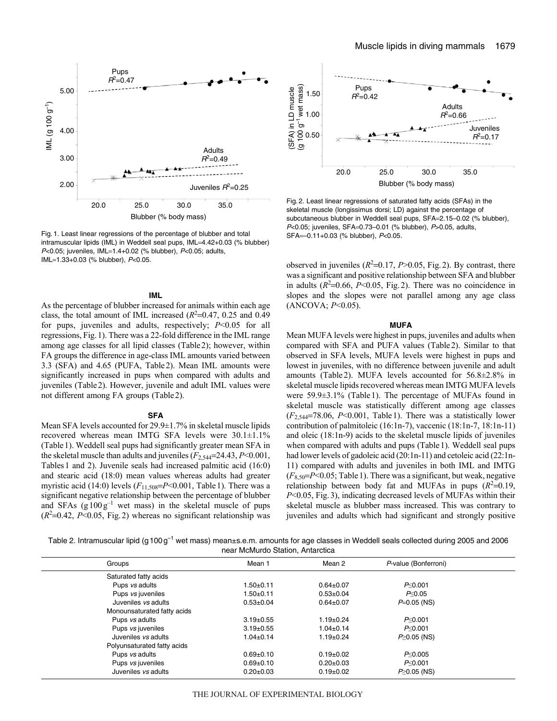

Fig. 1. Least linear regressions of the percentage of blubber and total intramuscular lipids (IML) in Weddell seal pups, IML=4.42+0.03 (% blubber) P<0.05; juveniles, IML=1.4+0.02 (% blubber), P<0.05; adults,  $IML=1.33+0.03$  (% blubber),  $P<0.05$ .

# **IML**

As the percentage of blubber increased for animals within each age class, the total amount of IML increased  $(R<sup>2</sup>=0.47, 0.25$  and 0.49 for pups, juveniles and adults, respectively; *P*<0.05 for all regressions, Fig.1). There was a 22-fold difference in the IML range among age classes for all lipid classes (Table2); however, within FA groups the difference in age-class IML amounts varied between 3.3 (SFA) and 4.65 (PUFA, Table2). Mean IML amounts were significantly increased in pups when compared with adults and juveniles (Table2). However, juvenile and adult IML values were not different among FA groups (Table2).

#### **SFA**

Mean SFA levels accounted for 29.9±1.7% in skeletal muscle lipids recovered whereas mean IMTG SFA levels were 30.1±1.1% (Table1). Weddell seal pups had significantly greater mean SFA in the skeletal muscle than adults and juveniles  $(F_{2,544}=24.43, P<0.001,$ Tables1 and 2). Juvenile seals had increased palmitic acid (16:0) and stearic acid (18:0) mean values whereas adults had greater myristic acid (14:0) levels ( $F_{11,508}$ = $P$  < 0.001, Table 1). There was a significant negative relationship between the percentage of blubber and SFAs  $(g100g^{-1}$  wet mass) in the skeletal muscle of pups  $(R<sup>2</sup>=0.42, P<0.05,$  Fig. 2) whereas no significant relationship was



Fig. 2. Least linear regressions of saturated fatty acids (SFAs) in the skeletal muscle (longissimus dorsi; LD) against the percentage of subcutaneous blubber in Weddell seal pups, SFA=2.15-0.02 (% blubber), P<0.05; juveniles, SFA=0.73-0.01 (% blubber), P>0.05, adults, SFA–0.11+0.03 (% blubber), P<0.05.

observed in juveniles  $(R^2=0.17, P>0.05, Fig. 2)$ . By contrast, there was a significant and positive relationship between SFA and blubber in adults  $(R^2=0.66, P<0.05,$  Fig. 2). There was no coincidence in slopes and the slopes were not parallel among any age class (ANCOVA; *P*<0.05).

#### **MUFA**

Mean MUFA levels were highest in pups, juveniles and adults when compared with SFA and PUFA values (Table2). Similar to that observed in SFA levels, MUFA levels were highest in pups and lowest in juveniles, with no difference between juvenile and adult amounts (Table2). MUFA levels accounted for 56.8±2.8% in skeletal muscle lipids recovered whereas mean IMTG MUFA levels were 59.9±3.1% (Table1). The percentage of MUFAs found in skeletal muscle was statistically different among age classes  $(F_{2,544}=78.06, P<0.001,$  Table 1). There was a statistically lower contribution of palmitoleic (16:1n-7), vaccenic (18:1n-7, 18:1n-11) and oleic (18:1n-9) acids to the skeletal muscle lipids of juveniles when compared with adults and pups (Table1). Weddell seal pups had lower levels of gadoleic acid (20:1n-11) and cetoleic acid (22:1n-11) compared with adults and juveniles in both IML and IMTG  $(F_{8,50} = P \le 0.05$ ; Table 1). There was a significant, but weak, negative relationship between body fat and MUFAs in pups  $(R^2=0.19)$ , *P*<0.05, Fig.3), indicating decreased levels of MUFAs within their skeletal muscle as blubber mass increased. This was contrary to juveniles and adults which had significant and strongly positive

Table 2. Intramuscular lipid (g100g<sup>-1</sup> wet mass) mean±s.e.m. amounts for age classes in Weddell seals collected during 2005 and 2006 near McMurdo Station, Antarctica

| Groups                      | Mean 1          | Mean 2          | P-value (Bonferroni) |  |
|-----------------------------|-----------------|-----------------|----------------------|--|
| Saturated fatty acids       |                 |                 |                      |  |
| Pups vs adults              | $1.50 \pm 0.11$ | $0.64 \pm 0.07$ | P <sub>0.001</sub>   |  |
| Pups vs juveniles           | $1.50{\pm}0.11$ | $0.53 \pm 0.04$ | P< 0.05              |  |
| Juveniles vs adults         | $0.53 + 0.04$   | $0.64 \pm 0.07$ | $P=0.05$ (NS)        |  |
| Monounsaturated fatty acids |                 |                 |                      |  |
| Pups vs adults              | $3.19 \pm 0.55$ | $1.19 \pm 0.24$ | P <sub>0.001</sub>   |  |
| Pups vs juveniles           | $3.19 \pm 0.55$ | $1.04 \pm 0.14$ | P< 0.001             |  |
| Juveniles vs adults         | $1.04 \pm 0.14$ | $1.19 \pm 0.24$ | $P \ge 0.05$ (NS)    |  |
| Polyunsaturated fatty acids |                 |                 |                      |  |
| Pups vs adults              | $0.69 + 0.10$   | $0.19+0.02$     | P< 0.005             |  |
| Pups vs juveniles           | $0.69 \pm 0.10$ | $0.20 \pm 0.03$ | P< 0.001             |  |
| Juveniles vs adults         | $0.20 \pm 0.03$ | $0.19+0.02$     | $P \ge 0.05$ (NS)    |  |
|                             |                 |                 |                      |  |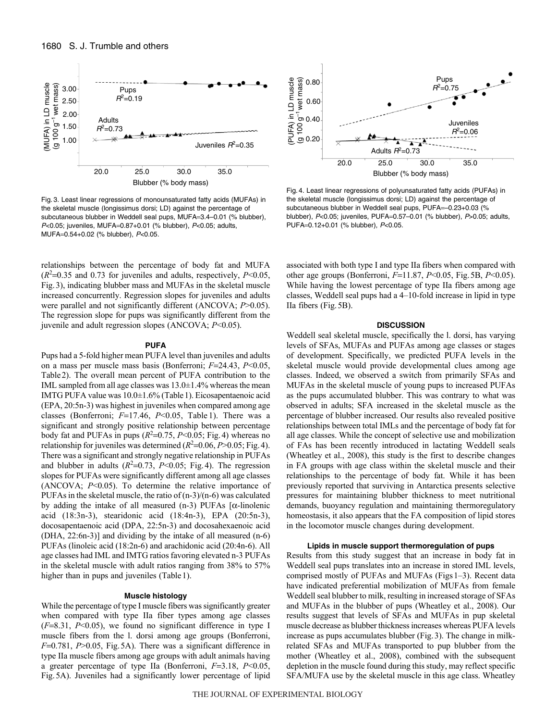

Blubber (% body mass)

Fig. 3. Least linear regressions of monounsaturated fatty acids (MUFAs) in the skeletal muscle (longissimus dorsi; LD) against the percentage of subcutaneous blubber in Weddell seal pups, MUFA=3.4–0.01 (% blubber),  $P<0.05$ ; juveniles, MUFA=0.87+0.01 (% blubber),  $P<0.05$ ; adults, MUFA=0.54+0.02 (% blubber), P<0.05.

relationships between the percentage of body fat and MUFA  $(R<sup>2</sup>=0.35$  and 0.73 for juveniles and adults, respectively, *P*<0.05, Fig.3), indicating blubber mass and MUFAs in the skeletal muscle increased concurrently. Regression slopes for juveniles and adults were parallel and not significantly different (ANCOVA; *P*>0.05). The regression slope for pups was significantly different from the juvenile and adult regression slopes (ANCOVA; *P*<0.05).

#### **PUFA**

Pups had a 5-fold higher mean PUFA level than juveniles and adults on a mass per muscle mass basis (Bonferroni;  $F=24.43$ ,  $P<0.05$ , Table2). The overall mean percent of PUFA contribution to the IML sampled from all age classes was 13.0±1.4% whereas the mean IMTG PUFA value was 10.0±1.6% (Table1). Eicosapentaenoic acid (EPA, 20:5n-3) was highest in juveniles when compared among age classes (Bonferroni;  $F=17.46$ ,  $P<0.05$ , Table 1). There was a significant and strongly positive relationship between percentage body fat and PUFAs in pups  $(R^2=0.75, P<0.05; Fig. 4)$  whereas no relationship for juveniles was determined  $(R^2=0.06, P>0.05; Fig. 4)$ . There was a significant and strongly negative relationship in PUFAs and blubber in adults  $(R^2=0.73, P<0.05$ ; Fig. 4). The regression slopes for PUFAs were significantly different among all age classes (ANCOVA; *P*<0.05). To determine the relative importance of PUFAs in the skeletal muscle, the ratio of (n-3)/(n-6) was calculated by adding the intake of all measured (n-3) PUFAs [ $\alpha$ -linolenic acid (18:3n-3), stearidonic acid (18:4n-3), EPA (20:5n-3), docosapentaenoic acid (DPA, 22:5n-3) and docosahexaenoic acid (DHA, 22:6n-3)] and dividing by the intake of all measured (n-6) PUFAs (linoleic acid (18:2n-6) and arachidonic acid (20:4n-6). All age classes had IML and IMTG ratios favoring elevated n-3 PUFAs in the skeletal muscle with adult ratios ranging from 38% to 57% higher than in pups and juveniles (Table 1).

#### **Muscle histology**

While the percentage of type I muscle fibers was significantly greater when compared with type IIa fiber types among age classes  $(F=8.31, P<0.05)$ , we found no significant difference in type I muscle fibers from the l. dorsi among age groups (Bonferroni,  $F=0.781$ ,  $P>0.05$ , Fig.5A). There was a significant difference in type IIa muscle fibers among age groups with adult animals having a greater percentage of type IIa (Bonferroni,  $F=3.18$ ,  $P<0.05$ , Fig.5A). Juveniles had a significantly lower percentage of lipid



Fig. 4. Least linear regressions of polyunsaturated fatty acids (PUFAs) in the skeletal muscle (longissimus dorsi; LD) against the percentage of subcutaneous blubber in Weddell seal pups, PUFA=-0.23+0.03 (% blubber), P<0.05; juveniles, PUFA=0.57-0.01 (% blubber), P>0.05; adults, PUFA=0.12+0.01 (% blubber), P<0.05.

associated with both type I and type IIa fibers when compared with other age groups (Bonferroni, *F*11.87, *P*<0.05, Fig.5B, *P*<0.05). While having the lowest percentage of type IIa fibers among age classes, Weddell seal pups had a 4–10-fold increase in lipid in type IIa fibers (Fig.5B).

### **DISCUSSION**

Weddell seal skeletal muscle, specifically the l. dorsi, has varying levels of SFAs, MUFAs and PUFAs among age classes or stages of development. Specifically, we predicted PUFA levels in the skeletal muscle would provide developmental clues among age classes. Indeed, we observed a switch from primarily SFAs and MUFAs in the skeletal muscle of young pups to increased PUFAs as the pups accumulated blubber. This was contrary to what was observed in adults; SFA increased in the skeletal muscle as the percentage of blubber increased. Our results also revealed positive relationships between total IMLs and the percentage of body fat for all age classes. While the concept of selective use and mobilization of FAs has been recently introduced in lactating Weddell seals (Wheatley et al., 2008), this study is the first to describe changes in FA groups with age class within the skeletal muscle and their relationships to the percentage of body fat. While it has been previously reported that surviving in Antarctica presents selective pressures for maintaining blubber thickness to meet nutritional demands, buoyancy regulation and maintaining thermoregulatory homeostasis, it also appears that the FA composition of lipid stores in the locomotor muscle changes during development.

### **Lipids in muscle support thermoregulation of pups**

Results from this study suggest that an increase in body fat in Weddell seal pups translates into an increase in stored IML levels, comprised mostly of PUFAs and MUFAs (Figs 1-3). Recent data have indicated preferential mobilization of MUFAs from female Weddell seal blubber to milk, resulting in increased storage of SFAs and MUFAs in the blubber of pups (Wheatley et al., 2008). Our results suggest that levels of SFAs and MUFAs in pup skeletal muscle decrease as blubber thickness increases whereas PUFA levels increase as pups accumulates blubber (Fig.3). The change in milkrelated SFAs and MUFAs transported to pup blubber from the mother (Wheatley et al., 2008), combined with the subsequent depletion in the muscle found during this study, may reflect specific SFA/MUFA use by the skeletal muscle in this age class. Wheatley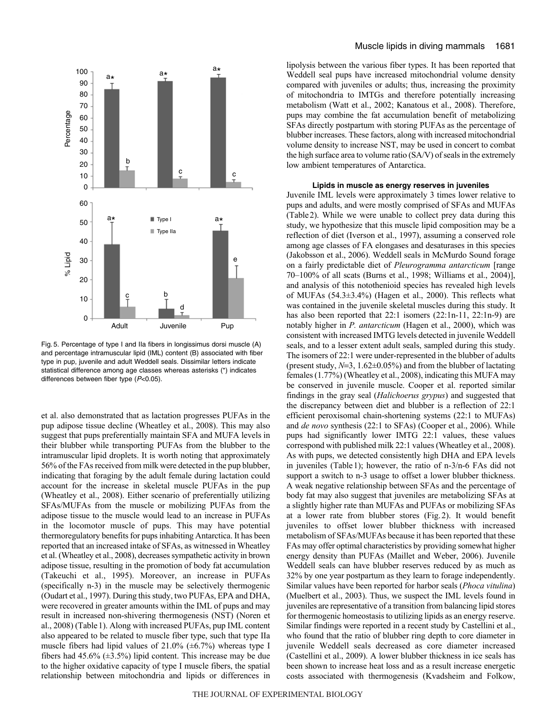

Fig. 5. Percentage of type I and IIa fibers in longissimus dorsi muscle (A) and percentage intramuscular lipid (IML) content (B) associated with fiber type in pup, juvenile and adult Weddell seals. Dissimilar letters indicate statistical difference among age classes whereas asterisks (\*) indicates differences between fiber type (P<0.05).

et al. also demonstrated that as lactation progresses PUFAs in the pup adipose tissue decline (Wheatley et al., 2008). This may also suggest that pups preferentially maintain SFA and MUFA levels in their blubber while transporting PUFAs from the blubber to the intramuscular lipid droplets. It is worth noting that approximately 56% of the FAs received from milk were detected in the pup blubber, indicating that foraging by the adult female during lactation could account for the increase in skeletal muscle PUFAs in the pup (Wheatley et al., 2008). Either scenario of preferentially utilizing SFAs/MUFAs from the muscle or mobilizing PUFAs from the adipose tissue to the muscle would lead to an increase in PUFAs in the locomotor muscle of pups. This may have potential thermoregulatory benefits for pups inhabiting Antarctica. It has been reported that an increased intake of SFAs, as witnessed in Wheatley et al. (Wheatley et al., 2008), decreases sympathetic activity in brown adipose tissue, resulting in the promotion of body fat accumulation (Takeuchi et al., 1995). Moreover, an increase in PUFAs (specifically n-3) in the muscle may be selectively thermogenic (Oudart et al., 1997). During this study, two PUFAs, EPA and DHA, were recovered in greater amounts within the IML of pups and may result in increased non-shivering thermogenesis (NST) (Noren et al., 2008) (Table1). Along with increased PUFAs, pup IML content also appeared to be related to muscle fiber type, such that type IIa muscle fibers had lipid values of  $21.0\%$  ( $\pm 6.7\%$ ) whereas type I fibers had 45.6% ( $\pm$ 3.5%) lipid content. This increase may be due to the higher oxidative capacity of type I muscle fibers, the spatial relationship between mitochondria and lipids or differences in lipolysis between the various fiber types. It has been reported that Weddell seal pups have increased mitochondrial volume density compared with juveniles or adults; thus, increasing the proximity of mitochondria to IMTGs and therefore potentially increasing metabolism (Watt et al., 2002; Kanatous et al., 2008). Therefore, pups may combine the fat accumulation benefit of metabolizing SFAs directly postpartum with storing PUFAs as the percentage of blubber increases. These factors, along with increased mitochondrial volume density to increase NST, may be used in concert to combat the high surface area to volume ratio (SA/V) of seals in the extremely low ambient temperatures of Antarctica.

### **Lipids in muscle as energy reserves in juveniles**

Juvenile IML levels were approximately 3 times lower relative to pups and adults, and were mostly comprised of SFAs and MUFAs (Table2). While we were unable to collect prey data during this study, we hypothesize that this muscle lipid composition may be a reflection of diet (Iverson et al., 1997), assuming a conserved role among age classes of FA elongases and desaturases in this species (Jakobsson et al., 2006). Weddell seals in McMurdo Sound forage on a fairly predictable diet of *Pleurogramma antarcticum* [range 70–100% of all scats (Burns et al., 1998; Williams et al., 2004)], and analysis of this notothenioid species has revealed high levels of MUFAs (54.3±3.4%) (Hagen et al., 2000). This reflects what was contained in the juvenile skeletal muscles during this study. It has also been reported that 22:1 isomers (22:1n-11, 22:1n-9) are notably higher in *P. antarcticum* (Hagen et al., 2000), which was consistent with increased IMTG levels detected in juvenile Weddell seals, and to a lesser extent adult seals, sampled during this study. The isomers of 22:1 were under-represented in the blubber of adults (present study,  $N=3$ ,  $1.62\pm0.05\%$ ) and from the blubber of lactating females (1.77%) (Wheatley et al., 2008), indicating this MUFA may be conserved in juvenile muscle. Cooper et al. reported similar findings in the gray seal (*Halichoerus grypus*) and suggested that the discrepancy between diet and blubber is a reflection of 22:1 efficient peroxisomal chain-shortening systems (22:1 to MUFAs) and *de novo* synthesis (22:1 to SFAs) (Cooper et al., 2006). While pups had significantly lower IMTG 22:1 values, these values correspond with published milk 22:1 values (Wheatley et al., 2008). As with pups, we detected consistently high DHA and EPA levels in juveniles (Table1); however, the ratio of n-3/n-6 FAs did not support a switch to n-3 usage to offset a lower blubber thickness. A weak negative relationship between SFAs and the percentage of body fat may also suggest that juveniles are metabolizing SFAs at a slightly higher rate than MUFAs and PUFAs or mobilizing SFAs at a lower rate from blubber stores (Fig.2). It would benefit juveniles to offset lower blubber thickness with increased metabolism of SFAs/MUFAs because it has been reported that these FAs may offer optimal characteristics by providing somewhat higher energy density than PUFAs (Maillet and Weber, 2006). Juvenile Weddell seals can have blubber reserves reduced by as much as 32% by one year postpartum as they learn to forage independently. Similar values have been reported for harbor seals (*Phoca vitulina*) (Muelbert et al., 2003). Thus, we suspect the IML levels found in juveniles are representative of a transition from balancing lipid stores for thermogenic homeostasis to utilizing lipids as an energy reserve. Similar findings were reported in a recent study by Castellini et al., who found that the ratio of blubber ring depth to core diameter in juvenile Weddell seals decreased as core diameter increased (Castellini et al., 2009). A lower blubber thickness in ice seals has been shown to increase heat loss and as a result increase energetic costs associated with thermogenesis (Kvadsheim and Folkow,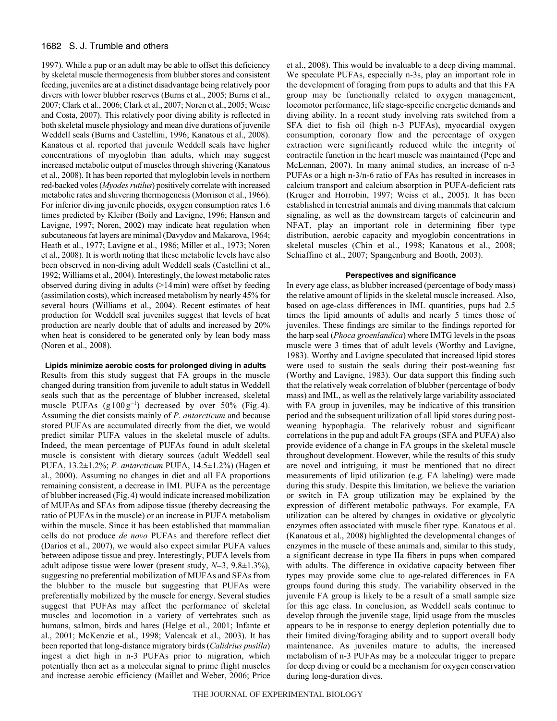# 1682 S. J. Trumble and others

1997). While a pup or an adult may be able to offset this deficiency by skeletal muscle thermogenesis from blubber stores and consistent feeding, juveniles are at a distinct disadvantage being relatively poor divers with lower blubber reserves (Burns et al., 2005; Burns et al., 2007; Clark et al., 2006; Clark et al., 2007; Noren et al., 2005; Weise and Costa, 2007). This relatively poor diving ability is reflected in both skeletal muscle physiology and mean dive durations of juvenile Weddell seals (Burns and Castellini, 1996; Kanatous et al., 2008). Kanatous et al. reported that juvenile Weddell seals have higher concentrations of myoglobin than adults, which may suggest increased metabolic output of muscles through shivering (Kanatous et al., 2008). It has been reported that myloglobin levels in northern red-backed voles (*Myodes rutilus*) positively correlate with increased metabolic rates and shivering thermogenesis (Morrison et al., 1966). For inferior diving juvenile phocids, oxygen consumption rates 1.6 times predicted by Kleiber (Boily and Lavigne, 1996; Hansen and Lavigne, 1997; Noren, 2002) may indicate heat regulation when subcutaneous fat layers are minimal (Davydov and Makarova, 1964; Heath et al., 1977; Lavigne et al., 1986; Miller et al., 1973; Noren et al., 2008). It is worth noting that these metabolic levels have also been observed in non-diving adult Weddell seals (Castellini et al., 1992; Williams et al., 2004). Interestingly, the lowest metabolic rates observed during diving in adults (>14min) were offset by feeding (assimilation costs), which increased metabolism by nearly 45% for several hours (Williams et al., 2004). Recent estimates of heat production for Weddell seal juveniles suggest that levels of heat production are nearly double that of adults and increased by 20% when heat is considered to be generated only by lean body mass (Noren et al., 2008).

# **Lipids minimize aerobic costs for prolonged diving in adults**

Results from this study suggest that FA groups in the muscle changed during transition from juvenile to adult status in Weddell seals such that as the percentage of blubber increased, skeletal muscle PUFAs  $(g 100 g^{-1})$  decreased by over 50% (Fig. 4). Assuming the diet consists mainly of *P. antarcticum* and because stored PUFAs are accumulated directly from the diet, we would predict similar PUFA values in the skeletal muscle of adults. Indeed, the mean percentage of PUFAs found in adult skeletal muscle is consistent with dietary sources (adult Weddell seal PUFA, 13.2±1.2%; *P. antarcticum* PUFA, 14.5±1.2%) (Hagen et al., 2000). Assuming no changes in diet and all FA proportions remaining consistent, a decrease in IML PUFA as the percentage of blubber increased (Fig.4) would indicate increased mobilization of MUFAs and SFAs from adipose tissue (thereby decreasing the ratio of PUFAs in the muscle) or an increase in PUFA metabolism within the muscle. Since it has been established that mammalian cells do not produce *de novo* PUFAs and therefore reflect diet (Darios et al., 2007), we would also expect similar PUFA values between adipose tissue and prey. Interestingly, PUFA levels from adult adipose tissue were lower (present study,  $N=3$ ,  $9.8\pm1.3\%$ ), suggesting no preferential mobilization of MUFAs and SFAs from the blubber to the muscle but suggesting that PUFAs were preferentially mobilized by the muscle for energy. Several studies suggest that PUFAs may affect the performance of skeletal muscles and locomotion in a variety of vertebrates such as humans, salmon, birds and hares (Helge et al., 2001; Infante et al., 2001; McKenzie et al., 1998; Valencak et al., 2003). It has been reported that long-distance migratory birds (*Calidrius pusilla*) ingest a diet high in n-3 PUFAs prior to migration, which potentially then act as a molecular signal to prime flight muscles and increase aerobic efficiency (Maillet and Weber, 2006; Price et al., 2008). This would be invaluable to a deep diving mammal. We speculate PUFAs, especially n-3s, play an important role in the development of foraging from pups to adults and that this FA group may be functionally related to oxygen management, locomotor performance, life stage-specific energetic demands and diving ability. In a recent study involving rats switched from a SFA diet to fish oil (high n-3 PUFAs), myocardial oxygen consumption, coronary flow and the percentage of oxygen extraction were significantly reduced while the integrity of contractile function in the heart muscle was maintained (Pepe and McLennan, 2007). In many animal studies, an increase of n-3 PUFAs or a high n-3/n-6 ratio of FAs has resulted in increases in calcium transport and calcium absorption in PUFA-deficient rats (Kruger and Horrobin, 1997; Weiss et al., 2005). It has been established in terrestrial animals and diving mammals that calcium signaling, as well as the downstream targets of calcineurin and NFAT, play an important role in determining fiber type distribution, aerobic capacity and myoglobin concentrations in skeletal muscles (Chin et al., 1998; Kanatous et al., 2008; Schiaffino et al., 2007; Spangenburg and Booth, 2003).

# **Perspectives and significance**

In every age class, as blubber increased (percentage of body mass) the relative amount of lipids in the skeletal muscle increased. Also, based on age-class differences in IML quantities, pups had 2.5 times the lipid amounts of adults and nearly 5 times those of juveniles. These findings are similar to the findings reported for the harp seal (*Phoca groenlandica*) where IMTG levels in the psoas muscle were 3 times that of adult levels (Worthy and Lavigne, 1983). Worthy and Lavigne speculated that increased lipid stores were used to sustain the seals during their post-weaning fast (Worthy and Lavigne, 1983). Our data support this finding such that the relatively weak correlation of blubber (percentage of body mass) and IML, as well as the relatively large variability associated with FA group in juveniles, may be indicative of this transition period and the subsequent utilization of all lipid stores during postweaning hypophagia. The relatively robust and significant correlations in the pup and adult FA groups (SFA and PUFA) also provide evidence of a change in FA groups in the skeletal muscle throughout development. However, while the results of this study are novel and intriguing, it must be mentioned that no direct measurements of lipid utilization (e.g. FA labeling) were made during this study. Despite this limitation, we believe the variation or switch in FA group utilization may be explained by the expression of different metabolic pathways. For example, FA utilization can be altered by changes in oxidative or glycolytic enzymes often associated with muscle fiber type. Kanatous et al. (Kanatous et al., 2008) highlighted the developmental changes of enzymes in the muscle of these animals and, similar to this study, a significant decrease in type IIa fibers in pups when compared with adults. The difference in oxidative capacity between fiber types may provide some clue to age-related differences in FA groups found during this study. The variability observed in the juvenile FA group is likely to be a result of a small sample size for this age class. In conclusion, as Weddell seals continue to develop through the juvenile stage, lipid usage from the muscles appears to be in response to energy depletion potentially due to their limited diving/foraging ability and to support overall body maintenance. As juveniles mature to adults, the increased metabolism of n-3 PUFAs may be a molecular trigger to prepare for deep diving or could be a mechanism for oxygen conservation during long-duration dives.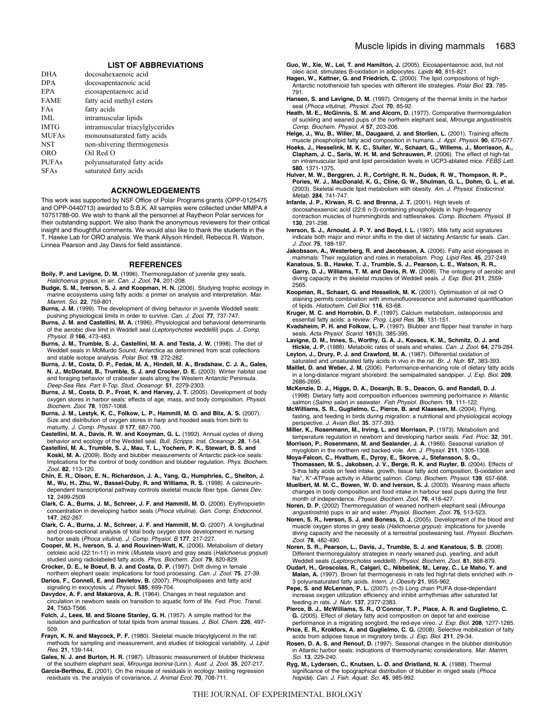#### **LIST OF ABBREVIATIONS**

| docosahexaenoic acid            |
|---------------------------------|
| docosapentaenoic acid           |
| eicosapentaenoic acid           |
| fatty acid methyl esters        |
| fatty acids                     |
| intramuscular lipids            |
| intramuscular triacylglycerides |
| monounsaturated fatty acids     |
| non-shivering thermogenesis     |
| Oil Red O                       |
| polyunsaturated fatty acids     |
| saturated fatty acids           |
|                                 |

# **ACKNOWLEDGEMENTS**

This work was supported by NSF Office of Polar Programs grants (OPP-0125475 and OPP-0440713) awarded to S.B.K. All samples were collected under MMPA # 10751788-00. We wish to thank all the personnel at Raytheon Polar services for their outstanding support. We also thank the anonymous reviewers for their critical insight and thoughtful comments. We would also like to thank the students in the T. Hawke Lab for ORO analysis. We thank Allyson Hindell, Rebecca R. Watson, Linnea Pearson and Jay Davis for field assistance.

#### **REFERENCES**

- **Boily, P. and Lavigne, D. M.** (1996). Thermoregulation of juvenile grey seals, Halichoerus grypus, in air. Can. J. Zool. **74**, 201-208.
- **Budge, S. M., Iverson, S. J. and Koopman, H. N.** (2006). Studying trophic ecology in marine ecosystems using fatty acids: a primer on analysis and interpretation. Mar. Mamm. Sci. **22**, 759-801.
- **Burns, J. M.** (1999). The development of diving behavior in juvenile Weddell seals: pushing physiological limits in order to survive. Can. J. Zool. **77**, 737-747.
- **Burns, J. M. and Castellini, M. A.** (1996). Physiological and behavioral determinants of the aerobic dive limit in Weddell seal (Leptonychotes weddellii) pups. J. Comp. Physiol. B **166**, 473-483.
- **Burns, J. M., Trumble, S. J., Castellini, M. A. and Testa, J. W.** (1998). The diet of Weddell seals in McMurdo Sound, Antarctica as determined from scat collections and stable isotope analysis. Polar Biol. **19**, 272-282.
- **Burns, J. M., Costa, D. P., Fedak, M. A., Hindell, M. A., Bradshaw, C. J. A., Gales, N. J., McDonald, B., Trumble, S. J. and Crocker, D. E.** (2003). Winter habitat use and foraging behavior of crabeater seals along the Western Antarctic Peninsula. Deep-Sea Res. Part II-Top. Stud. Oceanogr. **51**, 2279-2303.
- **Burns, J. M., Costa, D. P., Frost, K. and Harvey, J. T.** (2005). Development of body oxygen stores in harbor seals: effects of age, mass, and body composition. Physiol. Biochem. Zool. **78**, 1057-1068.
- **Burns, J. M., Lestyk, K. C., Folkow, L. P., Hammill, M. O. and Blix, A. S.** (2007). Size and distribution of oxygen stores in harp and hooded seals from birth to maturity. J. Comp. Physiol. B **177**, 687-700.
- **Castellini, M. A., Davis, R. W. and Kooyman, G. L.** (1992). Annual cycles of diving behavior and ecology of the Weddell seal. Bull. Scripps. Inst. Oceanogr. **28**, 1-54.
- **Castellini, M. A., Trumble, S. J., Mau, T. L., Yochem, P. K., Stewart, B. S. and Koski, M. A.** (2009). Body and blubber measurements of Antarctic pack-ice seals: Implications for the control of body condition and blubber regulation. Phys. Biochem. Zool. **82**, 113-120.
- **Chin, E. R., Olson, E. N., Richardson, J. A., Yang, Q., Humphries, C., Shelton, J. M., Wu, H., Zhu, W., Bassel-Duby, R. and Williams, R. S.** (1998). A calcineurindependent transcriptional pathway controls skeletal muscle fiber type. Genes Dev. **12**, 2499-2509.
- **Clark, C. A., Burns, J. M., Schreer, J. F. and Hammill, M. O.** (2006). Erythropoietin concentration in developing harbor seals (Phoca vitulina). Gen. Comp. Endocrinol. **147**, 262-267.
- **Clark, C. A., Burns, J. M., Schreer, J. F. and Hammill, M. O.** (2007). A longitudinal and cross-sectional analysis of total body oxygen store development in nursing harbor seals (Phoca vitulina). J. Comp. Physiol. B **177**, 217-227.
- **Cooper, M. H., Iverson, S. J. and Rouvinen-Watt, K.** (2006). Metabolism of dietary cetoleic acid (22:1n-11) in mink (Mustela vison) and gray seals (Halichoerus grypus) studied using radiolabeled fatty acids. Phys. Biochem. Zool. **79**, 820-829.
- **Crocker, D. E., le Boeuf, B. J. and Costa, D. P.** (1997). Drift diving in female northern elephant seals: implications for food processing. Can. J. Zool. **75**, 27-39.
- **Darios, F., Connell, E. and Davletov, B.** (2007). Phospholipases and fatty acid signaling in exocytosis. J. Physiol. **585**, 699-704.
- **Davydov, A. F. and Makarova, A. R.** (1964). Changes in heat regulation and circulation in newborn seals on transition to aquatic form of life. Fed. Proc. Transl. **24**, T563-T566.
- **Folch, J., Lees, M. and Sloane Stanley, G. H.** (1957). A simple method for the isolation and purification of total lipids from animal tissues. J. Biol. Chem. **226**, 497- 509.
- **Frayn, K. N. and Maycock, P. F.** (1980). Skeletal muscle triacylglycerol in the rat: methods for sampling and measurement, and studies of biological variability. J. Lipid Res. **21**, 139-144.

**Gales, N. J. and Burton, H. R.** (1987). Ultrasonic measurement of blubber thickness of the southern elephant seal, Mirounga leonina (Linn.). Aust. J. Zool. **35**, 207-217.

**Garcia-Berthou, E.** (2001). On the misuse of residuals in ecology: testing regression residuals vs. the analysis of covariance**.** J. Animal Ecol. **70**, 708-711.

**Guo, W., Xie, W., Lei, T. and Hamilton, J.** (2005). Eicosapentaenoic acid, but not oleic acid, stimulates B-oxidation in adipocytes. Lipids **40**, 815-821.

- **Hagen, W., Kattner, G. and Friedrich, C.** (2000). The lipid compositions of high-Antarctic notothenioid fish species with different life strategies. Polar Biol. **23**, 785- 791.
- **Hansen, S. and Lavigne, D. M.** (1997). Ontogeny of the thermal limits in the harbor seal (Phoca vitulina). Physiol. Zool. **70**, 85-92.
- **Heath, M. E., McGinnis, S. M. and Alcorn, D.** (1977). Comparative thermoregulation of suckling and weaned pups of the northern elephant seal, Mirounga angustirostris. Comp. Biochem. Physiol. A **57**, 203-206.
- **Helge, J., Wu, B., Willer, M., Daugaard, J. and Storlien, L.** (2001). Training affects muscle phospholipid fatty acid composition in humans. J. Appl. Physiol. **90**, 670-677. **Hoeks, J., Hesselink, M. K. C., Sluiter, W., Schaart, G., Willems, J., Morrisson, A.,**
- **Clapham, J. C., Saris, W. H. M. and Schrauwen, P.** (2006). The effect of high-fat on intramuscular lipid and lipid peroxidation levels in UCP3-ablated mice. FEBS Lett. **580**, 1371-1375.
- **Hulver, M. W., Berggren, J. R., Cortright, R. N., Dudek, R. W., Thompson, R. P., Pories, W. J., MacDonald, K. G., Cline, G. W., Shulman, G. L., Dohm, G. L. et al.** (2003). Skeletal muscle lipid metabolism with obesity. Am. J. Physiol. Endocrinol. Metab. **284**, 741-747.
- **Infante, J. P., Kirwan, R. C. and Brenna, J. T.** (2001). High levels of docosahexaenoic acid (22:6 n-3)-containing phospholipids in high-frequency contraction muscles of hummingbirds and rattlesnakes. Comp. Biochem. Physiol. B **130**, 291-298.
- **Iverson, S. J., Arnould, J. P. Y. and Boyd, I. L.** (1997). Milk fatty acid signatures indicate both major and minor shifts in the diet of lactating Antarctic fur seals. Can. J. Zool. **75**, 188-197.
- **Jakobsson, A., Westerberg, R. and Jacobsson, A.** (2006). Fatty acid elongases in mammals: Their regulation and roles in metabolism. Prog. Lipid Res. **45**, 237-249.
- **Kanatous, S. B., Hawke, T. J., Trumble, S. J., Pearson, L. E., Watson, R. R., Garry, D. J., Williams, T. M. and Davis, R. W.** (2008). The ontogeny of aerobic and diving capacity in the skeletal muscles of Weddell seals. J. Exp. Biol. **211**, 2559- 2565.
- **Koopman, R., Schaart, G. and Hesselink, M. K.** (2001). Optimisation of oil red O staining permits combination with immunofluorescence and automated quantification of lipids. Histochem. Cell Biol. **116**, 63-68.
- **Kruger, M. C. and Horrobin, D. F.** (1997). Calcium metabolism, osteoporosis and essential fatty acids: a review. Prog. Lipid Res. **36**, 131-151.
- **Kvadsheim, P. H. and Folkow, L. P.** (1997). Blubber and flipper heat transfer in harp seals. Acta Physiol. Scand. **161**(3), 385-395.
- **Lavigne, D. M., Innes, S., Worthy, G. A. J., Kovacs, K. M., Schmitz, O. J. and Hickie, J. P.** (1986). Metabolic rates of seals and whales. Can. J. Zool. **64**, 279-284.
- **Leyton, J., Drury, P. J. and Crawford, M. A.** (1987). Differential oxidation of saturated and unsaturated fatty acids in vivo in the rat. Br. J. Nutr. **57**, 383-393.
- **Maillet, D. and Weber, J. M.** (2006). Performance-enhancing role of dietary fatty acids in a long-distance migrant shorebird: the semipalmated sandpiper. J. Exp. Biol. **209**, 2686-2695.
- **McKenzie, D. J., Higgs, D. A., Dosanjh, B. S., Deacon, G. and Randall, D. J.** (1998). Dietary fatty acid composition influences swimming performance in Atlantic salmon (Salmo salar) in seawater. Fish Physiol. Biochem. **19**, 111-122.
- **McWilliams, S. R., Guglielmo, C., Pierce, B. and Klaassen, M.** (2004). Flying, fasting, and feeding in birds during migration: a nutritional and physiological ecology perspective. J. Avian Biol. **35**, 377-393.
- **Miller, K., Rosenmann, M., Irving, L. and Morrison, P.** (1973). Metabolism and temperature regulation in newborn and developing harbor seals. Fed. Proc. **32**, 391.
- **Morrison, P., Rosenmann, M. and Sealander, J. A.** (1966). Seasonal variation of myoglobin in the northern red backed vole. Am. J. Physiol. **211**, 1305-1308.
- **Moya-Falcon, C., Hvattum, E., Dyroy, E., Skorve, J., Stefansson, S. O., Thomassen, M. S., Jakobsen, J. V., Berge, R. K. and Ruyter, B.** (2004). Effects of 3-thia fatty acids on feed intake, growth, tissue fatty acid composition, B-oxidation and Na+, K+-ATPase activity in Atlantic salmon. Comp. Biochem. Physiol. **139**, 657-668.
- **Muelbert, M. M. C., Bowen, W. D. and Iverson, S. J.** (2003). Weaning mass affects changes in body composition and food intake in harbour seal pups during the first month of independence. Physiol. Biochem. Zool. **76**, 418-427.
- **Noren, D. P.** (2002) Thermoregulation of weaned northern elephant seal (Mirounga angustirostris) pups in air and water. Physiol. Biochem. Zool. **75**, 513-523.
- **Noren, S. R., Iverson, S. J. and Boness, D. J.** (2005). Development of the blood and muscle oxygen stores in grey seals (Halichoerus grypus): implications for juvenile diving capacity and the necessity of a terrestrial postweaning fast. Physiol. Biochem. Zool. **78**, 482-490.
- **Noren, S. R., Pearson, L., Davis, J., Trumble, S. J. and Kanatous, S. B.** (2008). Different thermoregulatory strategies in nearly weaned pup, yearling, and adult Weddell seals (Leptonychotes weddelli). Physiol. Biochem. Zool. **81**, 868-879.
- **Oudart, H., Groscolas, R., Calgari, C., Nibbelink, M., Leray, C., Le Maho, Y. and Malan, A.** (1997). Brown fat thermogenesis in rats fed high-fat diets enriched with n-3 polyunsaturated fatty acids. Intern. J. Obesity **21**, 955-962.
- **Pepe, S. and McLennan, P. L.** (2007). (n-3) Long chain PUFA dose-dependant increase oxygen utilization efficiency and inhibit arrhythmias after saturated fat feeding in rats. J. Nutr. **137**, 2377-2383.
- **Pierce, B. J., McWilliams, S. R., O'Connor, T. P., Place, A. R. and Guglielmo, C. G.** (2005). Effect of dietary fatty acid composition on depot fat and exercise performance in a migrating songbird, the red-eye vireo. J. Exp. Biol. **208**, 1277-1285.
- Price, E. R., Krokfors, A. and Guglielmo, C. G. (2008). Selective mobilization of fatty acids from adipose tissue in migratory birds. J. Exp. Biol. **211**, 29-34.
- **Rosen, D. A. S. and Renouf, D.** (1997). Seasonal changes in the blubber distribution in Atlantic harbor seals: indications of thermodynamic considerations. Mar. Mamm. Sci. **13**, 229-240.
- **Ryg, M., Lydersen, C., Knutsen, L. Ø. and Øristland, N. A.** (1988). Thermal significance of the topographical distribution of blubber in ringed seals (Phoca hispida). Can. J. Fish. Aquat. Sci. **45**, 985-992.